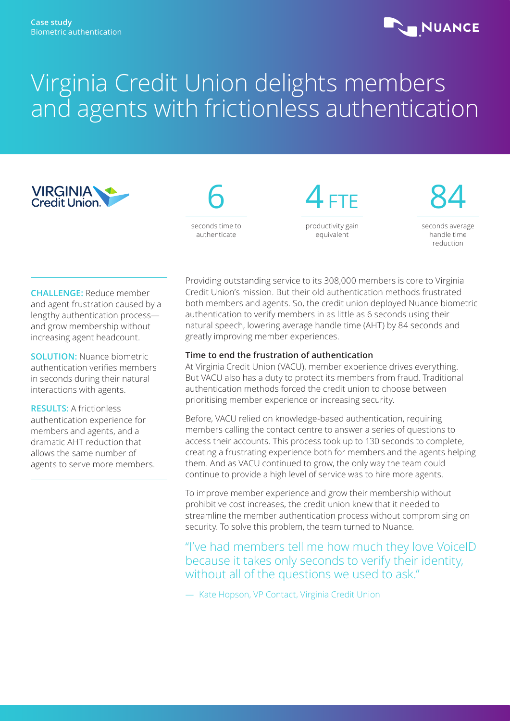# **NUANCE**

# Virginia Credit Union delights members and agents with frictionless authentication





4 FTE productivity gain equivalent

84 seconds average handle time reduction

**CHALLENGE:** Reduce member and agent frustration caused by a lengthy authentication process and grow membership without increasing agent headcount.

**SOLUTION:** Nuance biometric authentication verifies members in seconds during their natural interactions with agents.

**RESULTS:** A frictionless authentication experience for members and agents, and a dramatic AHT reduction that allows the same number of agents to serve more members. Providing outstanding service to its 308,000 members is core to Virginia Credit Union's mission. But their old authentication methods frustrated both members and agents. So, the credit union deployed Nuance biometric authentication to verify members in as little as 6 seconds using their natural speech, lowering average handle time (AHT) by 84 seconds and greatly improving member experiences.

# **Time to end the frustration of authentication**

At Virginia Credit Union (VACU), member experience drives everything. But VACU also has a duty to protect its members from fraud. Traditional authentication methods forced the credit union to choose between prioritising member experience or increasing security.

Before, VACU relied on knowledge-based authentication, requiring members calling the contact centre to answer a series of questions to access their accounts. This process took up to 130 seconds to complete, creating a frustrating experience both for members and the agents helping them. And as VACU continued to grow, the only way the team could continue to provide a high level of service was to hire more agents.

To improve member experience and grow their membership without prohibitive cost increases, the credit union knew that it needed to streamline the member authentication process without compromising on security. To solve this problem, the team turned to Nuance.

"I've had members tell me how much they love VoiceID because it takes only seconds to verify their identity, without all of the questions we used to ask."

— Kate Hopson, VP Contact, Virginia Credit Union